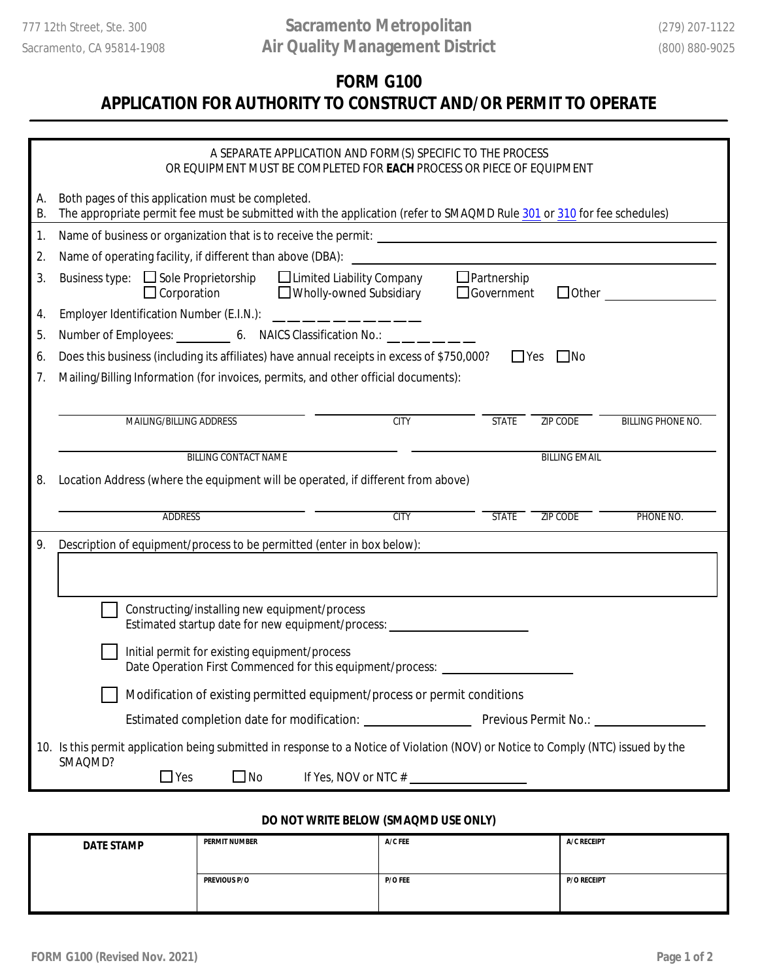## **FORM G100**

## **APPLICATION FOR AUTHORITY TO CONSTRUCT AND/OR PERMIT TO OPERATE**

|          | A SEPARATE APPLICATION AND FORM(S) SPECIFIC TO THE PROCESS<br>OR EQUIPMENT MUST BE COMPLETED FOR EACH PROCESS OR PIECE OF EQUIPMENT                                                           |  |  |  |
|----------|-----------------------------------------------------------------------------------------------------------------------------------------------------------------------------------------------|--|--|--|
| A.<br>В. | Both pages of this application must be completed.<br>The appropriate permit fee must be submitted with the application (refer to SMAQMD Rule 301 or 310 for fee schedules)                    |  |  |  |
| 1.       |                                                                                                                                                                                               |  |  |  |
| 2.       |                                                                                                                                                                                               |  |  |  |
| 3.       | $\Box$ Partnership<br>Business type: $\Box$ Sole Proprietorship $\Box$ Limited Liability Company<br>Wholly-owned Subsidiary<br>$\Box$ Corporation<br>$\Box$ Government<br>$\Box$ Other $\Box$ |  |  |  |
| 4.       | Employer Identification Number (E.I.N.): ____________                                                                                                                                         |  |  |  |
| 5.       | Number of Employees: 6. NAICS Classification No.:                                                                                                                                             |  |  |  |
| 6.       | Does this business (including its affiliates) have annual receipts in excess of \$750,000?<br>$\Box$ Yes $\Box$ No                                                                            |  |  |  |
| 7.       | Mailing/Billing Information (for invoices, permits, and other official documents):                                                                                                            |  |  |  |
|          |                                                                                                                                                                                               |  |  |  |
|          | <b>MAILING/BILLING ADDRESS</b><br><b>CITY</b><br><b>STATE</b><br><b>ZIP CODE</b><br><b>BILLING PHONE NO.</b>                                                                                  |  |  |  |
|          |                                                                                                                                                                                               |  |  |  |
|          | <b>BILLING EMAIL</b><br><b>BILLING CONTACT NAME</b>                                                                                                                                           |  |  |  |
| 8.       | Location Address (where the equipment will be operated, if different from above)                                                                                                              |  |  |  |
|          | <b>ADDRESS</b><br>CTTY<br><b>STATE</b><br><b>ZIP CODE</b><br>PHONE NO.                                                                                                                        |  |  |  |
| 9.       | Description of equipment/process to be permitted (enter in box below):                                                                                                                        |  |  |  |
|          |                                                                                                                                                                                               |  |  |  |
|          |                                                                                                                                                                                               |  |  |  |
|          | Constructing/installing new equipment/process<br>Estimated startup date for new equipment/process: ______________________________                                                             |  |  |  |
|          |                                                                                                                                                                                               |  |  |  |
|          | Initial permit for existing equipment/process<br>Date Operation First Commenced for this equipment/process: _____________________                                                             |  |  |  |
|          | Modification of existing permitted equipment/process or permit conditions                                                                                                                     |  |  |  |
|          |                                                                                                                                                                                               |  |  |  |
|          | 10. Is this permit application being submitted in response to a Notice of Violation (NOV) or Notice to Comply (NTC) issued by the                                                             |  |  |  |
|          | SMAQMD?<br>$\Box$ Yes<br>$\square$ No<br>If Yes, NOV or NTC $#$                                                                                                                               |  |  |  |

## **DO NOT WRITE BELOW (SMAQMD USE ONLY)**

| <b>DATE STAMP</b> | <b>PERMIT NUMBER</b> | $A/C$ FEE | A/C RECEIPT        |
|-------------------|----------------------|-----------|--------------------|
|                   | <b>PREVIOUS P/O</b>  | $P/O$ FEE | <b>P/O RECEIPT</b> |